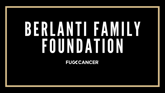## BERLANTI FAMILY I FOUNDATION **FUCACANCER**

# I I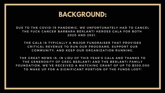### BACKGROUND:

DUE TO THE COVID-19 PANDEMIC, WE UNFORTUNATELY HAD TO CANCEL THE FUCK CANCER BARBARA BERLANTI HEROES GALA FOR BOTH 2020 AND 2021.

THE GALA IS TYPICALLY A MAJOR FUNDRAISER THAT PROVIDES CRITICAL REVENUE TO RUN OUR PROGRAMS, SUPPORT OUR COMMUNITY, AND KEEP OUR ORGANIZATION RUNNING.

THE GREAT NEWS IS, IN LIEU OF THIS YEAR'S GALA AND THANKS TO THE GENEROSITY OF GREG BERLANTI AND THE BERLANTI FAMILY FOUNDATION, WE'VE RECEIVED A MATCHING GRANT OF UP TO \$300,000 TO MAKE UP FOR A SIGNIFICANT PORTION OF THE FUNDS LOST!

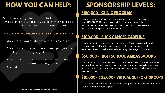## HOW YOU CAN HELP:

We're seeking donors to help us make the most of this unbelievable gift and keep our most impacted programs running.

#### YOU CAN SUPPORT IN ONE OF 3 WAYS:

- · Make a general donation of any size
- · Directly sponsor one of our programs (and get naming rights)
- · Spread the word invite your friends, partners, colleagues to join in on the  $g$  iv ing

Cancer screenings have never been more important, especially after COVID-19. By funding our clinic programs, you are helping us provide cancer screenings, HPV vaccinations, and assistance with patient navigation and follow-up.

#### \$100,000 - FUCK CANCER CARELINE

Cancer is hard. By giving to our CareLine, you're giving patients and caregivers a dedicated caseworker to help them navigate their treatment, financial aid, and the day-to-day challenges of cancer.

#### \$50,000 - HIGH SCHOOL AMBASSADORS

Our high school ambassadors are our boots on the ground when it comes to getting the word out there about cancer prevention and early detection. We provide trainings, tools, and resources so these students can become peer health educators.



Our support groups offer patients and caregivers a safe, professionally-led space for online peer support.

## SPONSORSHIP LEVELS:

#### \$10,000 - \$25,000 - VIRTUAL SUPPORT GROUPS

## \$150,000 - CLINIC PROGRAM